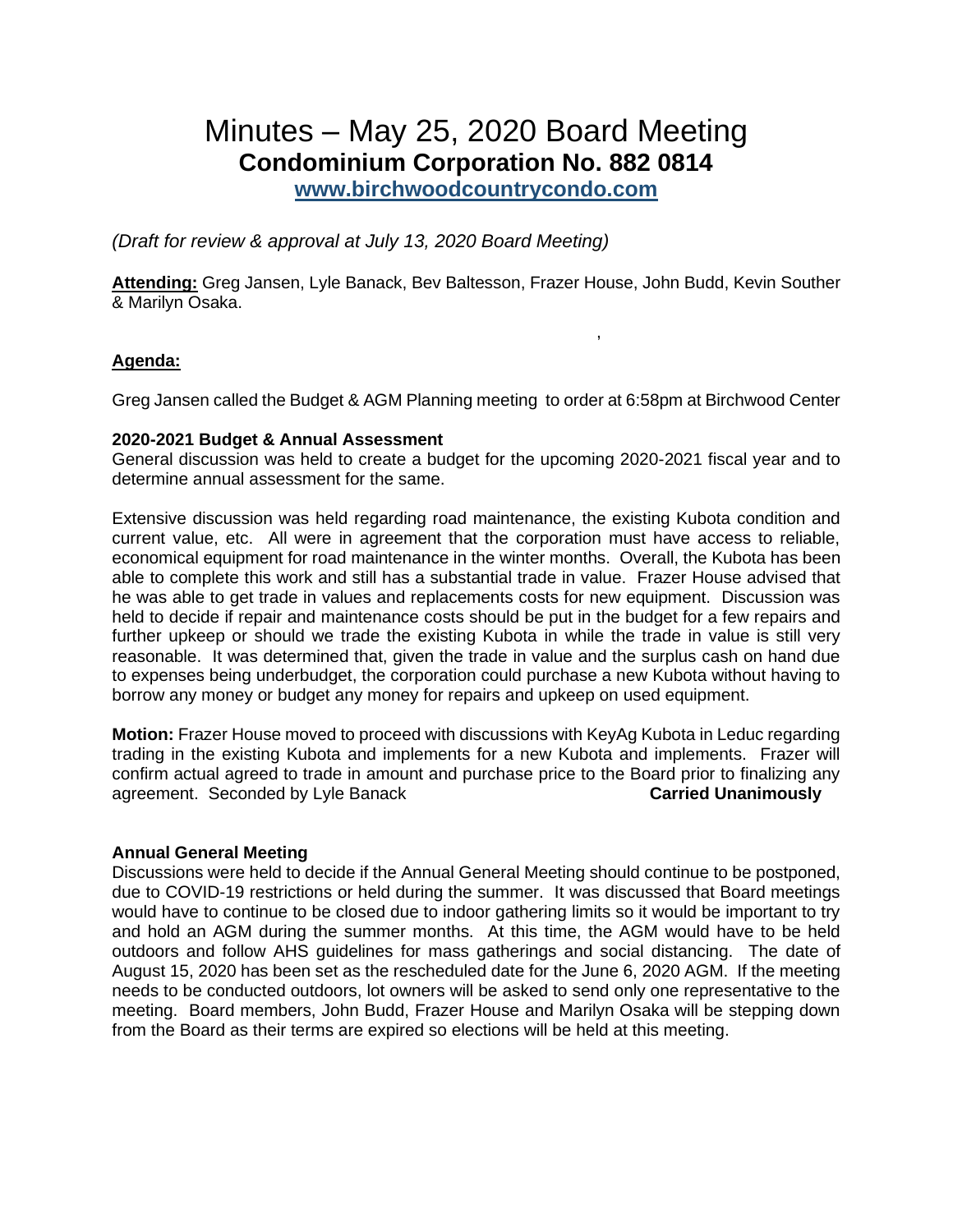# Minutes – May 25, 2020 Board Meeting **Condominium Corporation No. 882 0814**

**[www.birchwoodcountrycondo.com](http://www.birchwoodcountrycondo.com/)**

*(Draft for review & approval at July 13, 2020 Board Meeting)*

**Attending:** Greg Jansen, Lyle Banack, Bev Baltesson, Frazer House, John Budd, Kevin Souther & Marilyn Osaka.

,

# **Agenda:**

Greg Jansen called the Budget & AGM Planning meeting to order at 6:58pm at Birchwood Center

## **2020-2021 Budget & Annual Assessment**

General discussion was held to create a budget for the upcoming 2020-2021 fiscal year and to determine annual assessment for the same.

Extensive discussion was held regarding road maintenance, the existing Kubota condition and current value, etc. All were in agreement that the corporation must have access to reliable, economical equipment for road maintenance in the winter months. Overall, the Kubota has been able to complete this work and still has a substantial trade in value. Frazer House advised that he was able to get trade in values and replacements costs for new equipment. Discussion was held to decide if repair and maintenance costs should be put in the budget for a few repairs and further upkeep or should we trade the existing Kubota in while the trade in value is still very reasonable. It was determined that, given the trade in value and the surplus cash on hand due to expenses being underbudget, the corporation could purchase a new Kubota without having to borrow any money or budget any money for repairs and upkeep on used equipment.

**Motion:** Frazer House moved to proceed with discussions with KeyAg Kubota in Leduc regarding trading in the existing Kubota and implements for a new Kubota and implements. Frazer will confirm actual agreed to trade in amount and purchase price to the Board prior to finalizing any agreement. Seconded by Lyle Banack **Carried Unanimously**

#### **Annual General Meeting**

Discussions were held to decide if the Annual General Meeting should continue to be postponed, due to COVID-19 restrictions or held during the summer. It was discussed that Board meetings would have to continue to be closed due to indoor gathering limits so it would be important to try and hold an AGM during the summer months. At this time, the AGM would have to be held outdoors and follow AHS guidelines for mass gatherings and social distancing. The date of August 15, 2020 has been set as the rescheduled date for the June 6, 2020 AGM. If the meeting needs to be conducted outdoors, lot owners will be asked to send only one representative to the meeting. Board members, John Budd, Frazer House and Marilyn Osaka will be stepping down from the Board as their terms are expired so elections will be held at this meeting.